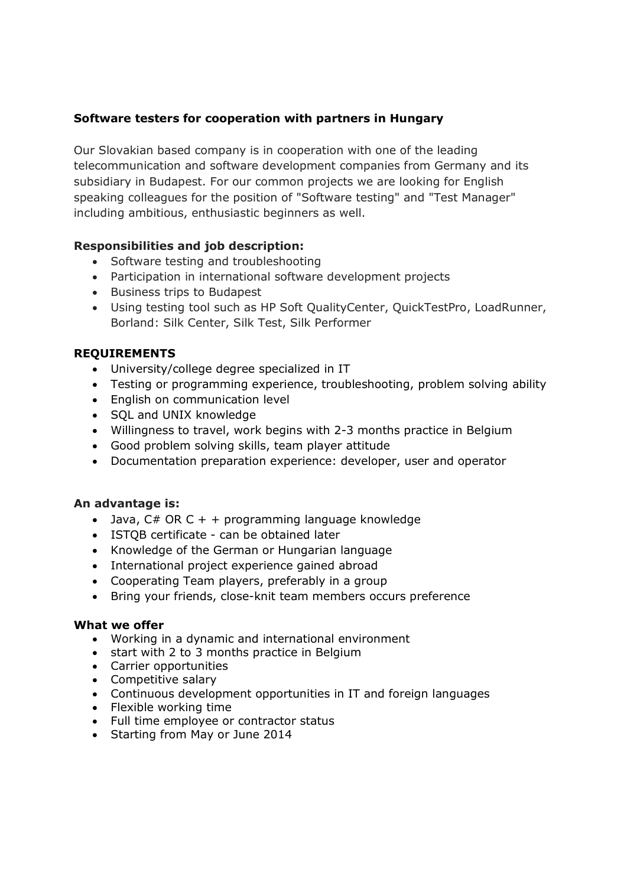# **Software testers for cooperation with partners in Hungary**

Our Slovakian based company is in cooperation with one of the leading telecommunication and software development companies from Germany and its subsidiary in Budapest. For our common projects we are looking for English speaking colleagues for the position of "Software testing" and "Test Manager" including ambitious, enthusiastic beginners as well.

## **Responsibilities and job description:**

- Software testing and troubleshooting
- Participation in international software development projects
- Business trips to Budapest
- Using testing tool such as HP Soft QualityCenter, QuickTestPro, LoadRunner, Borland: Silk Center, Silk Test, Silk Performer

### **REQUIREMENTS**

- University/college degree specialized in IT
- Testing or programming experience, troubleshooting, problem solving ability
- English on communication level
- SQL and UNIX knowledge
- Willingness to travel, work begins with 2-3 months practice in Belgium
- Good problem solving skills, team player attitude
- Documentation preparation experience: developer, user and operator

### **An advantage is:**

- Java,  $C# OR C + + programming language knowledge$
- ISTQB certificate can be obtained later
- Knowledge of the German or Hungarian language
- International project experience gained abroad
- Cooperating Team players, preferably in a group
- Bring your friends, close-knit team members occurs preference

### **What we offer**

- Working in a dynamic and international environment
- start with 2 to 3 months practice in Belgium
- Carrier opportunities
- Competitive salary
- Continuous development opportunities in IT and foreign languages
- Flexible working time
- Full time employee or contractor status
- Starting from May or June 2014